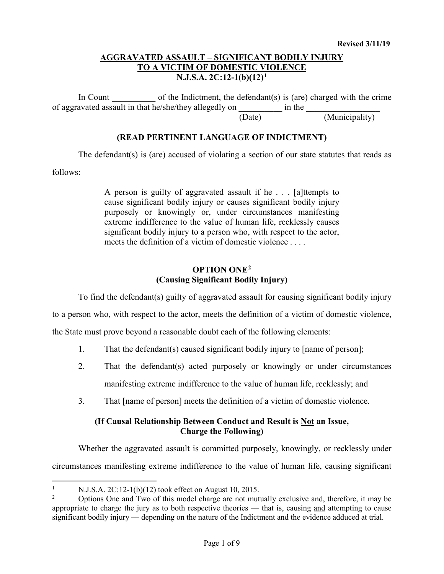In Count  $\qquad \qquad$  of the Indictment, the defendant(s) is (are) charged with the crime of aggravated assault in that he/she/they allegedly on  $\qquad \qquad$  in the (Date) (Municipality)

# **(READ PERTINENT LANGUAGE OF INDICTMENT)**

The defendant(s) is (are) accused of violating a section of our state statutes that reads as

follows:

A person is guilty of aggravated assault if he . . . [a]ttempts to cause significant bodily injury or causes significant bodily injury purposely or knowingly or, under circumstances manifesting extreme indifference to the value of human life, recklessly causes significant bodily injury to a person who, with respect to the actor, meets the definition of a victim of domestic violence . . . .

## **OPTION ONE[2](#page-0-1) (Causing Significant Bodily Injury)**

To find the defendant(s) guilty of aggravated assault for causing significant bodily injury

to a person who, with respect to the actor, meets the definition of a victim of domestic violence,

the State must prove beyond a reasonable doubt each of the following elements:

- 1. That the defendant(s) caused significant bodily injury to [name of person];
- 2. That the defendant(s) acted purposely or knowingly or under circumstances manifesting extreme indifference to the value of human life, recklessly; and
- 3. That [name of person] meets the definition of a victim of domestic violence.

# **(If Causal Relationship Between Conduct and Result is Not an Issue, Charge the Following)**

Whether the aggravated assault is committed purposely, knowingly, or recklessly under circumstances manifesting extreme indifference to the value of human life, causing significant

<span id="page-0-0"></span><sup>&</sup>lt;sup>1</sup> N.J.S.A. 2C:12-1(b)(12) took effect on August 10, 2015.

<span id="page-0-1"></span><sup>2</sup> Options One and Two of this model charge are not mutually exclusive and, therefore, it may be appropriate to charge the jury as to both respective theories — that is, causing and attempting to cause significant bodily injury — depending on the nature of the Indictment and the evidence adduced at trial.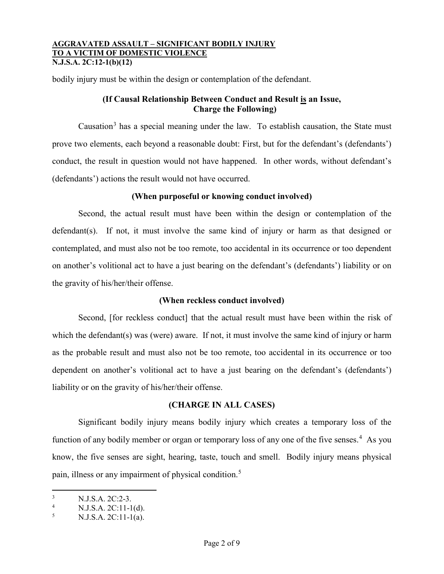bodily injury must be within the design or contemplation of the defendant.

## **(If Causal Relationship Between Conduct and Result is an Issue, Charge the Following)**

Causation<sup>[3](#page-1-0)</sup> has a special meaning under the law. To establish causation, the State must prove two elements, each beyond a reasonable doubt: First, but for the defendant's (defendants') conduct, the result in question would not have happened. In other words, without defendant's (defendants') actions the result would not have occurred.

## **(When purposeful or knowing conduct involved)**

Second, the actual result must have been within the design or contemplation of the defendant(s). If not, it must involve the same kind of injury or harm as that designed or contemplated, and must also not be too remote, too accidental in its occurrence or too dependent on another's volitional act to have a just bearing on the defendant's (defendants') liability or on the gravity of his/her/their offense.

## **(When reckless conduct involved)**

Second, [for reckless conduct] that the actual result must have been within the risk of which the defendant(s) was (were) aware. If not, it must involve the same kind of injury or harm as the probable result and must also not be too remote, too accidental in its occurrence or too dependent on another's volitional act to have a just bearing on the defendant's (defendants') liability or on the gravity of his/her/their offense.

## **(CHARGE IN ALL CASES)**

Significant bodily injury means bodily injury which creates a temporary loss of the function of any bodily member or organ or temporary loss of any one of the five senses.<sup>[4](#page-1-1)</sup> As you know, the five senses are sight, hearing, taste, touch and smell. Bodily injury means physical pain, illness or any impairment of physical condition.<sup>[5](#page-1-2)</sup>

<span id="page-1-0"></span> $\frac{3}{4}$  N.J.S.A. 2C:2-3.

<span id="page-1-1"></span><sup>&</sup>lt;sup>4</sup> N.J.S.A. 2C:11-1(d).

<span id="page-1-2"></span><sup>5</sup> N.J.S.A. 2C:11-1(a).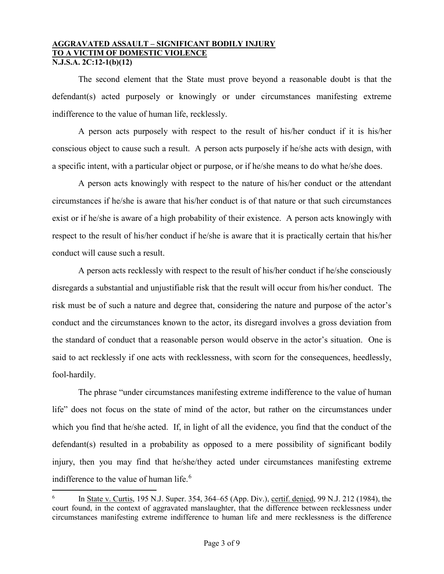The second element that the State must prove beyond a reasonable doubt is that the defendant(s) acted purposely or knowingly or under circumstances manifesting extreme indifference to the value of human life, recklessly.

A person acts purposely with respect to the result of his/her conduct if it is his/her conscious object to cause such a result. A person acts purposely if he/she acts with design, with a specific intent, with a particular object or purpose, or if he/she means to do what he/she does.

A person acts knowingly with respect to the nature of his/her conduct or the attendant circumstances if he/she is aware that his/her conduct is of that nature or that such circumstances exist or if he/she is aware of a high probability of their existence. A person acts knowingly with respect to the result of his/her conduct if he/she is aware that it is practically certain that his/her conduct will cause such a result.

A person acts recklessly with respect to the result of his/her conduct if he/she consciously disregards a substantial and unjustifiable risk that the result will occur from his/her conduct. The risk must be of such a nature and degree that, considering the nature and purpose of the actor's conduct and the circumstances known to the actor, its disregard involves a gross deviation from the standard of conduct that a reasonable person would observe in the actor's situation. One is said to act recklessly if one acts with recklessness, with scorn for the consequences, heedlessly, fool-hardily.

The phrase "under circumstances manifesting extreme indifference to the value of human life" does not focus on the state of mind of the actor, but rather on the circumstances under which you find that he/she acted. If, in light of all the evidence, you find that the conduct of the defendant(s) resulted in a probability as opposed to a mere possibility of significant bodily injury, then you may find that he/she/they acted under circumstances manifesting extreme indifference to the value of human life.<sup>[6](#page-2-0)</sup>

<span id="page-2-0"></span> <sup>6</sup> In State v. Curtis, 195 N.J. Super. 354, 364–65 (App. Div.), certif. denied, 99 N.J. 212 (1984), the court found, in the context of aggravated manslaughter, that the difference between recklessness under circumstances manifesting extreme indifference to human life and mere recklessness is the difference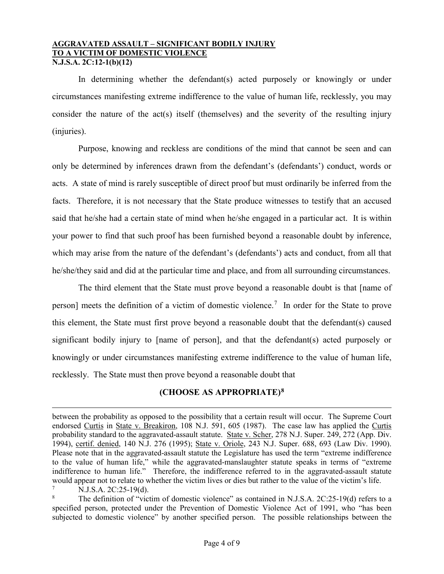In determining whether the defendant(s) acted purposely or knowingly or under circumstances manifesting extreme indifference to the value of human life, recklessly, you may consider the nature of the act(s) itself (themselves) and the severity of the resulting injury (injuries).

Purpose, knowing and reckless are conditions of the mind that cannot be seen and can only be determined by inferences drawn from the defendant's (defendants') conduct, words or acts. A state of mind is rarely susceptible of direct proof but must ordinarily be inferred from the facts. Therefore, it is not necessary that the State produce witnesses to testify that an accused said that he/she had a certain state of mind when he/she engaged in a particular act. It is within your power to find that such proof has been furnished beyond a reasonable doubt by inference, which may arise from the nature of the defendant's (defendants') acts and conduct, from all that he/she/they said and did at the particular time and place, and from all surrounding circumstances.

The third element that the State must prove beyond a reasonable doubt is that [name of person] meets the definition of a victim of domestic violence.<sup>[7](#page-3-0)</sup> In order for the State to prove this element, the State must first prove beyond a reasonable doubt that the defendant(s) caused significant bodily injury to [name of person], and that the defendant(s) acted purposely or knowingly or under circumstances manifesting extreme indifference to the value of human life, recklessly. The State must then prove beyond a reasonable doubt that

# **(CHOOSE AS APPROPRIATE)[8](#page-3-1)**

 $\overline{a}$ 

between the probability as opposed to the possibility that a certain result will occur. The Supreme Court endorsed Curtis in State v. Breakiron, 108 N.J. 591, 605 (1987). The case law has applied the Curtis probability standard to the aggravated-assault statute. State v. Scher, 278 N.J. Super. 249, 272 (App. Div. 1994), certif. denied, 140 N.J. 276 (1995); State v. Oriole, 243 N.J. Super. 688, 693 (Law Div. 1990). Please note that in the aggravated-assault statute the Legislature has used the term "extreme indifference to the value of human life," while the aggravated-manslaughter statute speaks in terms of "extreme indifference to human life." Therefore, the indifference referred to in the aggravated-assault statute would appear not to relate to whether the victim lives or dies but rather to the value of the victim's life.

<span id="page-3-0"></span> $\frac{7}{8}$  N.J.S.A. 2C:25-19(d).

<span id="page-3-1"></span>The definition of "victim of domestic violence" as contained in N.J.S.A. 2C:25-19(d) refers to a specified person, protected under the Prevention of Domestic Violence Act of 1991, who "has been subjected to domestic violence" by another specified person. The possible relationships between the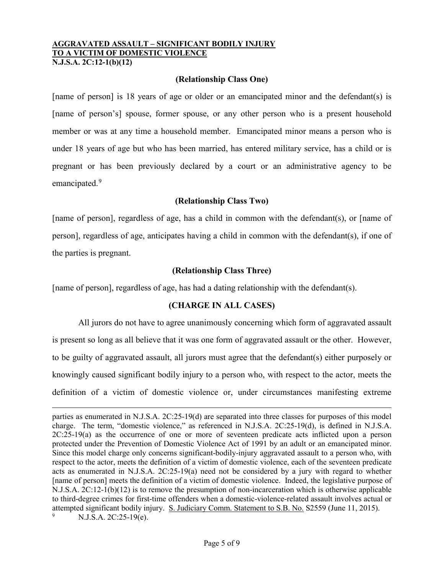#### **(Relationship Class One)**

[name of person] is 18 years of age or older or an emancipated minor and the defendant(s) is [name of person's] spouse, former spouse, or any other person who is a present household member or was at any time a household member. Emancipated minor means a person who is under 18 years of age but who has been married, has entered military service, has a child or is pregnant or has been previously declared by a court or an administrative agency to be emancipated.<sup>[9](#page-4-0)</sup>

## **(Relationship Class Two)**

[name of person], regardless of age, has a child in common with the defendant(s), or [name of person], regardless of age, anticipates having a child in common with the defendant(s), if one of the parties is pregnant.

## **(Relationship Class Three)**

[name of person], regardless of age, has had a dating relationship with the defendant(s).

 $\overline{a}$ 

## **(CHARGE IN ALL CASES)**

All jurors do not have to agree unanimously concerning which form of aggravated assault is present so long as all believe that it was one form of aggravated assault or the other. However, to be guilty of aggravated assault, all jurors must agree that the defendant(s) either purposely or knowingly caused significant bodily injury to a person who, with respect to the actor, meets the definition of a victim of domestic violence or, under circumstances manifesting extreme

<span id="page-4-0"></span>parties as enumerated in N.J.S.A. 2C:25-19(d) are separated into three classes for purposes of this model charge. The term, "domestic violence," as referenced in N.J.S.A. 2C:25-19(d), is defined in N.J.S.A. 2C:25-19(a) as the occurrence of one or more of seventeen predicate acts inflicted upon a person protected under the Prevention of Domestic Violence Act of 1991 by an adult or an emancipated minor. Since this model charge only concerns significant-bodily-injury aggravated assault to a person who, with respect to the actor, meets the definition of a victim of domestic violence, each of the seventeen predicate acts as enumerated in N.J.S.A. 2C:25-19(a) need not be considered by a jury with regard to whether [name of person] meets the definition of a victim of domestic violence. Indeed, the legislative purpose of N.J.S.A. 2C:12-1(b)(12) is to remove the presumption of non-incarceration which is otherwise applicable to third-degree crimes for first-time offenders when a domestic-violence-related assault involves actual or attempted significant bodily injury. S. Judiciary Comm. Statement to S.B. No. S2559 (June 11, 2015). N.J.S.A. 2C:25-19(e).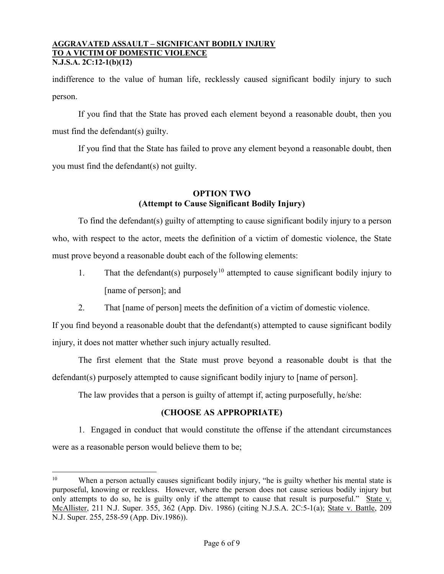indifference to the value of human life, recklessly caused significant bodily injury to such person.

If you find that the State has proved each element beyond a reasonable doubt, then you must find the defendant(s) guilty.

If you find that the State has failed to prove any element beyond a reasonable doubt, then you must find the defendant(s) not guilty.

# **OPTION TWO (Attempt to Cause Significant Bodily Injury)**

To find the defendant(s) guilty of attempting to cause significant bodily injury to a person who, with respect to the actor, meets the definition of a victim of domestic violence, the State must prove beyond a reasonable doubt each of the following elements:

- 1. That the defendant(s) purposely<sup>[10](#page-5-0)</sup> attempted to cause significant bodily injury to [name of person]; and
- 2. That [name of person] meets the definition of a victim of domestic violence.

If you find beyond a reasonable doubt that the defendant(s) attempted to cause significant bodily injury, it does not matter whether such injury actually resulted.

The first element that the State must prove beyond a reasonable doubt is that the defendant(s) purposely attempted to cause significant bodily injury to [name of person].

The law provides that a person is guilty of attempt if, acting purposefully, he/she:

# **(CHOOSE AS APPROPRIATE)**

1. Engaged in conduct that would constitute the offense if the attendant circumstances were as a reasonable person would believe them to be;

<span id="page-5-0"></span><sup>&</sup>lt;sup>10</sup> When a person actually causes significant bodily injury, "he is guilty whether his mental state is purposeful, knowing or reckless. However, where the person does not cause serious bodily injury but only attempts to do so, he is guilty only if the attempt to cause that result is purposeful." State v. McAllister, 211 N.J. Super. 355, 362 (App. Div. 1986) (citing N.J.S.A. 2C:5-1(a); State v. Battle, 209 N.J. Super. 255, 258-59 (App. Div.1986)).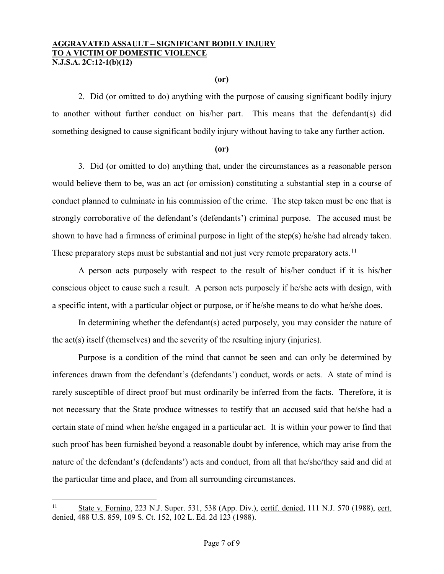#### **(or)**

2. Did (or omitted to do) anything with the purpose of causing significant bodily injury to another without further conduct on his/her part. This means that the defendant(s) did something designed to cause significant bodily injury without having to take any further action.

#### **(or)**

3. Did (or omitted to do) anything that, under the circumstances as a reasonable person would believe them to be, was an act (or omission) constituting a substantial step in a course of conduct planned to culminate in his commission of the crime. The step taken must be one that is strongly corroborative of the defendant's (defendants') criminal purpose. The accused must be shown to have had a firmness of criminal purpose in light of the step(s) he/she had already taken. These preparatory steps must be substantial and not just very remote preparatory acts.<sup>[11](#page-6-0)</sup>

A person acts purposely with respect to the result of his/her conduct if it is his/her conscious object to cause such a result. A person acts purposely if he/she acts with design, with a specific intent, with a particular object or purpose, or if he/she means to do what he/she does.

In determining whether the defendant(s) acted purposely, you may consider the nature of the act(s) itself (themselves) and the severity of the resulting injury (injuries).

Purpose is a condition of the mind that cannot be seen and can only be determined by inferences drawn from the defendant's (defendants') conduct, words or acts. A state of mind is rarely susceptible of direct proof but must ordinarily be inferred from the facts. Therefore, it is not necessary that the State produce witnesses to testify that an accused said that he/she had a certain state of mind when he/she engaged in a particular act. It is within your power to find that such proof has been furnished beyond a reasonable doubt by inference, which may arise from the nature of the defendant's (defendants') acts and conduct, from all that he/she/they said and did at the particular time and place, and from all surrounding circumstances.

<span id="page-6-0"></span><sup>&</sup>lt;sup>11</sup> State v. Fornino, 223 N.J. Super. 531, 538 (App. Div.), certif. denied, 111 N.J. 570 (1988), cert. denied, 488 U.S. 859, 109 S. Ct. 152, 102 L. Ed. 2d 123 (1988).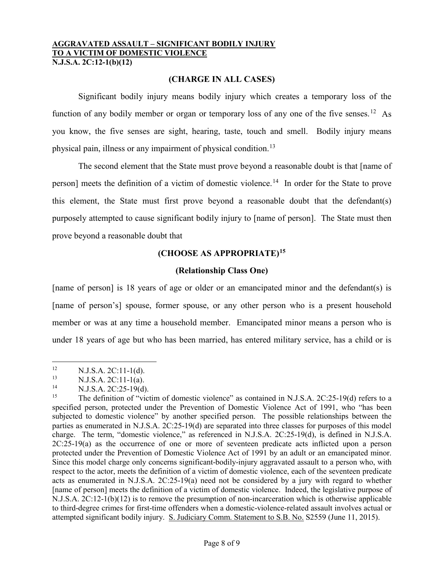## **(CHARGE IN ALL CASES)**

Significant bodily injury means bodily injury which creates a temporary loss of the function of any bodily member or organ or temporary loss of any one of the five senses.<sup>[12](#page-7-0)</sup> As you know, the five senses are sight, hearing, taste, touch and smell. Bodily injury means physical pain, illness or any impairment of physical condition.[13](#page-7-1)

The second element that the State must prove beyond a reasonable doubt is that [name of person] meets the definition of a victim of domestic violence.<sup>[14](#page-7-2)</sup> In order for the State to prove this element, the State must first prove beyond a reasonable doubt that the defendant(s) purposely attempted to cause significant bodily injury to [name of person]. The State must then prove beyond a reasonable doubt that

# **(CHOOSE AS APPROPRIATE)[15](#page-7-3)**

## **(Relationship Class One)**

[name of person] is 18 years of age or older or an emancipated minor and the defendant(s) is [name of person's] spouse, former spouse, or any other person who is a present household member or was at any time a household member. Emancipated minor means a person who is under 18 years of age but who has been married, has entered military service, has a child or is

<span id="page-7-0"></span><sup>&</sup>lt;sup>12</sup> N.J.S.A. 2C:11-1(d).<br><sup>13</sup> N.J.S.A. 2C:11-1(a).

<span id="page-7-1"></span><sup>&</sup>lt;sup>13</sup> N.J.S.A. 2C:11-1(a).<br><sup>14</sup> N.J.S.A. 2C:25, 10(d)

<span id="page-7-2"></span><sup>&</sup>lt;sup>14</sup> N.J.S.A. 2C:25-19(d).<br><sup>15</sup> The definition of "vict

<span id="page-7-3"></span><sup>15</sup> The definition of "victim of domestic violence" as contained in N.J.S.A. 2C:25-19(d) refers to a specified person, protected under the Prevention of Domestic Violence Act of 1991, who "has been subjected to domestic violence" by another specified person. The possible relationships between the parties as enumerated in N.J.S.A. 2C:25-19(d) are separated into three classes for purposes of this model charge. The term, "domestic violence," as referenced in N.J.S.A. 2C:25-19(d), is defined in N.J.S.A. 2C:25-19(a) as the occurrence of one or more of seventeen predicate acts inflicted upon a person protected under the Prevention of Domestic Violence Act of 1991 by an adult or an emancipated minor. Since this model charge only concerns significant-bodily-injury aggravated assault to a person who, with respect to the actor, meets the definition of a victim of domestic violence, each of the seventeen predicate acts as enumerated in N.J.S.A. 2C:25-19(a) need not be considered by a jury with regard to whether [name of person] meets the definition of a victim of domestic violence. Indeed, the legislative purpose of N.J.S.A. 2C:12-1(b)(12) is to remove the presumption of non-incarceration which is otherwise applicable to third-degree crimes for first-time offenders when a domestic-violence-related assault involves actual or attempted significant bodily injury. S. Judiciary Comm. Statement to S.B. No. S2559 (June 11, 2015).